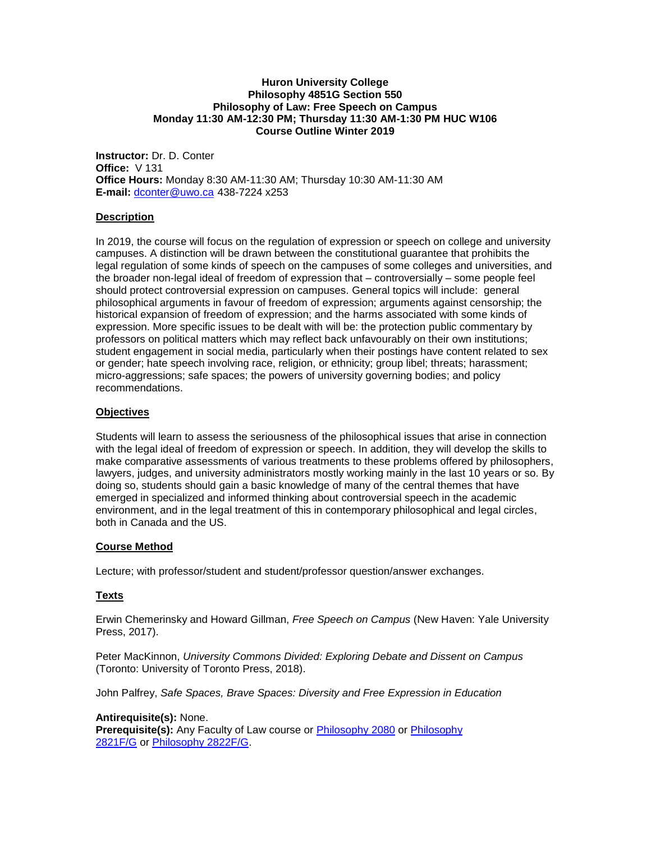#### **Huron University College Philosophy 4851G Section 550 Philosophy of Law: Free Speech on Campus Monday 11:30 AM-12:30 PM; Thursday 11:30 AM-1:30 PM HUC W106 Course Outline Winter 2019**

**Instructor:** Dr. D. Conter **Office:** V 131 **Office Hours:** Monday 8:30 AM-11:30 AM; Thursday 10:30 AM-11:30 AM **E-mail:** [dconter@uwo.ca](mailto:dconter@uwo.ca) 438-7224 x253

### **Description**

In 2019, the course will focus on the regulation of expression or speech on college and university campuses. A distinction will be drawn between the constitutional guarantee that prohibits the legal regulation of some kinds of speech on the campuses of some colleges and universities, and the broader non-legal ideal of freedom of expression that – controversially – some people feel should protect controversial expression on campuses. General topics will include: general philosophical arguments in favour of freedom of expression; arguments against censorship; the historical expansion of freedom of expression; and the harms associated with some kinds of expression. More specific issues to be dealt with will be: the protection public commentary by professors on political matters which may reflect back unfavourably on their own institutions; student engagement in social media, particularly when their postings have content related to sex or gender; hate speech involving race, religion, or ethnicity; group libel; threats; harassment; micro-aggressions; safe spaces; the powers of university governing bodies; and policy recommendations.

### **Objectives**

Students will learn to assess the seriousness of the philosophical issues that arise in connection with the legal ideal of freedom of expression or speech. In addition, they will develop the skills to make comparative assessments of various treatments to these problems offered by philosophers, lawyers, judges, and university administrators mostly working mainly in the last 10 years or so. By doing so, students should gain a basic knowledge of many of the central themes that have emerged in specialized and informed thinking about controversial speech in the academic environment, and in the legal treatment of this in contemporary philosophical and legal circles, both in Canada and the US.

### **Course Method**

Lecture; with professor/student and student/professor question/answer exchanges.

## **Texts**

Erwin Chemerinsky and Howard Gillman, *Free Speech on Campus* (New Haven: Yale University Press, 2017).

Peter MacKinnon, *University Commons Divided: Exploring Debate and Dissent on Campus* (Toronto: University of Toronto Press, 2018).

John Palfrey, *Safe Spaces, Brave Spaces: Diversity and Free Expression in Education*

### **Antirequisite(s):** None.

Prerequisite(s): Any Faculty of Law course or **[Philosophy 2080](http://www.westerncalendar.uwo.ca/Courses.cfm?CourseAcadCalendarID=MAIN_006275_1&SelectedCalendar=Live&ArchiveID=)** or **Philosophy** [2821F/G](http://www.westerncalendar.uwo.ca/Courses.cfm?CourseAcadCalendarID=MAIN_012227_1&SelectedCalendar=Live&ArchiveID=) or [Philosophy 2822F/G.](http://www.westerncalendar.uwo.ca/Courses.cfm?CourseAcadCalendarID=MAIN_011389_1&SelectedCalendar=Live&ArchiveID=)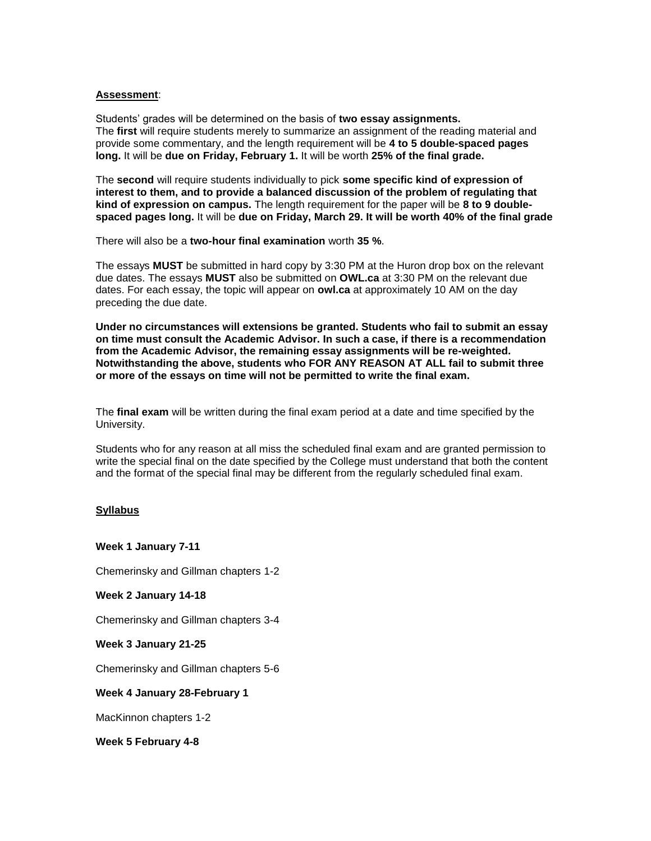#### **Assessment**:

Students' grades will be determined on the basis of **two essay assignments.** The **first** will require students merely to summarize an assignment of the reading material and provide some commentary, and the length requirement will be **4 to 5 double-spaced pages long.** It will be **due on Friday, February 1.** It will be worth **25% of the final grade.**

The **second** will require students individually to pick **some specific kind of expression of interest to them, and to provide a balanced discussion of the problem of regulating that kind of expression on campus.** The length requirement for the paper will be **8 to 9 doublespaced pages long.** It will be **due on Friday, March 29. It will be worth 40% of the final grade**

There will also be a **two-hour final examination** worth **35 %**.

The essays **MUST** be submitted in hard copy by 3:30 PM at the Huron drop box on the relevant due dates. The essays **MUST** also be submitted on **OWL.ca** at 3:30 PM on the relevant due dates. For each essay, the topic will appear on **owl.ca** at approximately 10 AM on the day preceding the due date.

**Under no circumstances will extensions be granted. Students who fail to submit an essay on time must consult the Academic Advisor. In such a case, if there is a recommendation from the Academic Advisor, the remaining essay assignments will be re-weighted. Notwithstanding the above, students who FOR ANY REASON AT ALL fail to submit three or more of the essays on time will not be permitted to write the final exam.**

The **final exam** will be written during the final exam period at a date and time specified by the University.

Students who for any reason at all miss the scheduled final exam and are granted permission to write the special final on the date specified by the College must understand that both the content and the format of the special final may be different from the regularly scheduled final exam.

### **Syllabus**

**Week 1 January 7-11**

Chemerinsky and Gillman chapters 1-2

**Week 2 January 14-18**

Chemerinsky and Gillman chapters 3-4

**Week 3 January 21-25**

Chemerinsky and Gillman chapters 5-6

**Week 4 January 28-February 1**

MacKinnon chapters 1-2

**Week 5 February 4-8**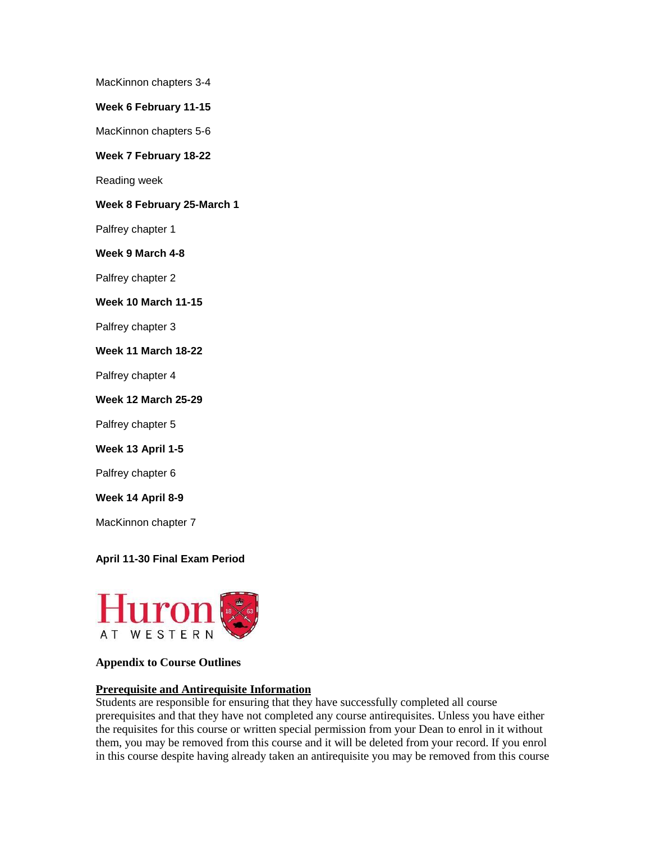MacKinnon chapters 3-4

**Week 6 February 11-15**

MacKinnon chapters 5-6

**Week 7 February 18-22**

Reading week

**Week 8 February 25-March 1**

Palfrey chapter 1

**Week 9 March 4-8**

Palfrey chapter 2

**Week 10 March 11-15**

Palfrey chapter 3

**Week 11 March 18-22**

Palfrey chapter 4

**Week 12 March 25-29**

Palfrey chapter 5

### **Week 13 April 1-5**

Palfrey chapter 6

**Week 14 April 8-9**

MacKinnon chapter 7

### **April 11-30 Final Exam Period**



## **Appendix to Course Outlines**

## **Prerequisite and Antirequisite Information**

Students are responsible for ensuring that they have successfully completed all course prerequisites and that they have not completed any course antirequisites. Unless you have either the requisites for this course or written special permission from your Dean to enrol in it without them, you may be removed from this course and it will be deleted from your record. If you enrol in this course despite having already taken an antirequisite you may be removed from this course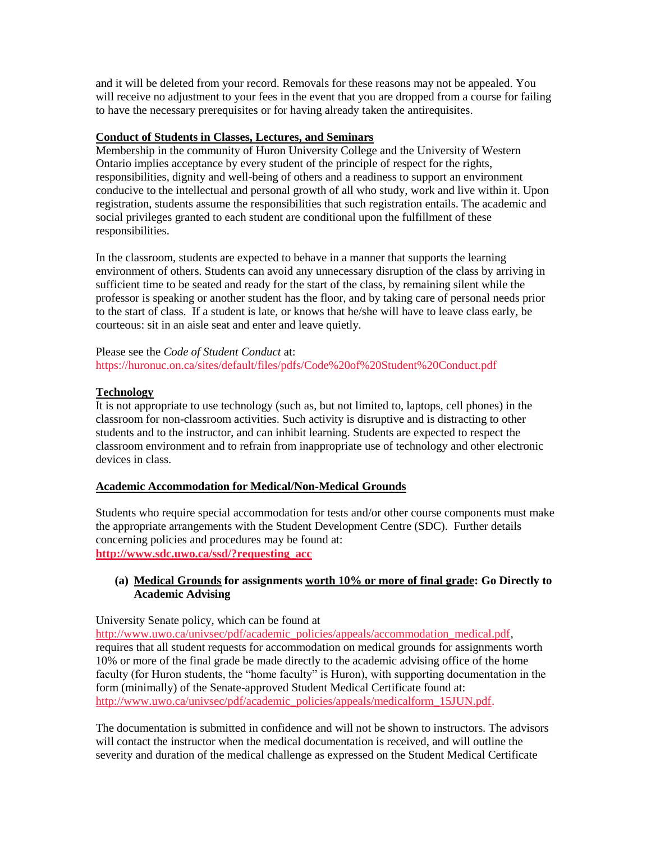and it will be deleted from your record. Removals for these reasons may not be appealed. You will receive no adjustment to your fees in the event that you are dropped from a course for failing to have the necessary prerequisites or for having already taken the antirequisites.

## **Conduct of Students in Classes, Lectures, and Seminars**

Membership in the community of Huron University College and the University of Western Ontario implies acceptance by every student of the principle of respect for the rights, responsibilities, dignity and well-being of others and a readiness to support an environment conducive to the intellectual and personal growth of all who study, work and live within it. Upon registration, students assume the responsibilities that such registration entails. The academic and social privileges granted to each student are conditional upon the fulfillment of these responsibilities.

In the classroom, students are expected to behave in a manner that supports the learning environment of others. Students can avoid any unnecessary disruption of the class by arriving in sufficient time to be seated and ready for the start of the class, by remaining silent while the professor is speaking or another student has the floor, and by taking care of personal needs prior to the start of class. If a student is late, or knows that he/she will have to leave class early, be courteous: sit in an aisle seat and enter and leave quietly.

### Please see the *Code of Student Conduct* at: https://huronuc.on.ca/sites/default/files/pdfs/Code%20of%20Student%20Conduct.pdf

## **Technology**

It is not appropriate to use technology (such as, but not limited to, laptops, cell phones) in the classroom for non-classroom activities. Such activity is disruptive and is distracting to other students and to the instructor, and can inhibit learning. Students are expected to respect the classroom environment and to refrain from inappropriate use of technology and other electronic devices in class.

# **Academic Accommodation for Medical/Non-Medical Grounds**

Students who require special accommodation for tests and/or other course components must make the appropriate arrangements with the Student Development Centre (SDC). Further details concerning policies and procedures may be found at: **[http://www.sdc.uwo.ca/ssd/?requesting\\_acc](http://www.sdc.uwo.ca/ssd/?requesting_acc)**

## **(a) Medical Grounds for assignments worth 10% or more of final grade: Go Directly to Academic Advising**

University Senate policy, which can be found at

[http://www.uwo.ca/univsec/pdf/academic\\_policies/appeals/accommodation\\_medical.pdf,](http://www.uwo.ca/univsec/pdf/academic_policies/appeals/accommodation_medical.pdf) requires that all student requests for accommodation on medical grounds for assignments worth 10% or more of the final grade be made directly to the academic advising office of the home faculty (for Huron students, the "home faculty" is Huron), with supporting documentation in the form (minimally) of the Senate-approved Student Medical Certificate found at: [http://www.uwo.ca/univsec/pdf/academic\\_policies/appeals/medicalform\\_15JUN.pdf.](http://www.uwo.ca/univsec/pdf/academic_policies/appeals/medicalform_15JUN.pdf)

The documentation is submitted in confidence and will not be shown to instructors. The advisors will contact the instructor when the medical documentation is received, and will outline the severity and duration of the medical challenge as expressed on the Student Medical Certificate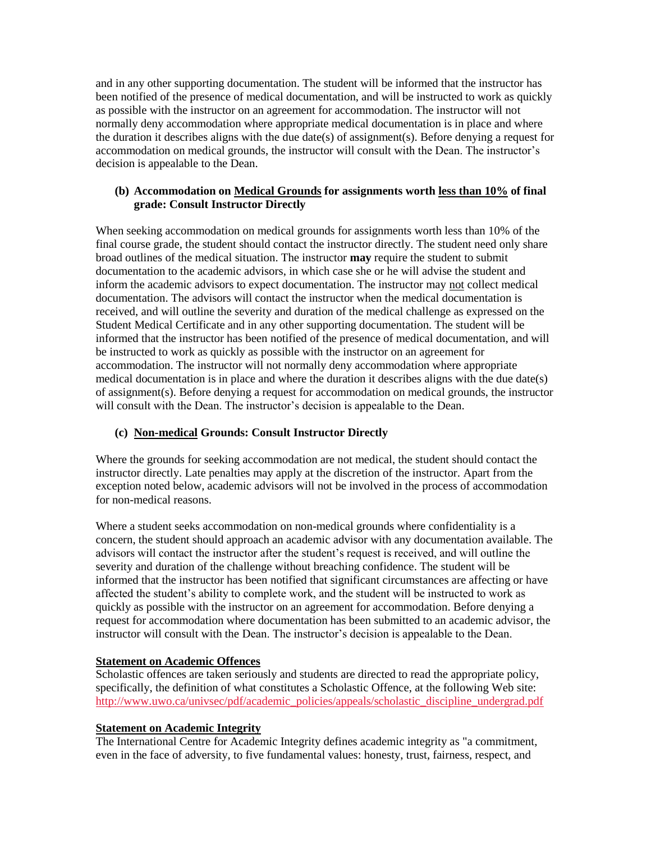and in any other supporting documentation. The student will be informed that the instructor has been notified of the presence of medical documentation, and will be instructed to work as quickly as possible with the instructor on an agreement for accommodation. The instructor will not normally deny accommodation where appropriate medical documentation is in place and where the duration it describes aligns with the due date(s) of assignment(s). Before denying a request for accommodation on medical grounds, the instructor will consult with the Dean. The instructor's decision is appealable to the Dean.

## **(b) Accommodation on Medical Grounds for assignments worth less than 10% of final grade: Consult Instructor Directly**

When seeking accommodation on medical grounds for assignments worth less than 10% of the final course grade, the student should contact the instructor directly. The student need only share broad outlines of the medical situation. The instructor **may** require the student to submit documentation to the academic advisors, in which case she or he will advise the student and inform the academic advisors to expect documentation. The instructor may not collect medical documentation. The advisors will contact the instructor when the medical documentation is received, and will outline the severity and duration of the medical challenge as expressed on the Student Medical Certificate and in any other supporting documentation. The student will be informed that the instructor has been notified of the presence of medical documentation, and will be instructed to work as quickly as possible with the instructor on an agreement for accommodation. The instructor will not normally deny accommodation where appropriate medical documentation is in place and where the duration it describes aligns with the due date(s) of assignment(s). Before denying a request for accommodation on medical grounds, the instructor will consult with the Dean. The instructor's decision is appealable to the Dean.

# **(c) Non-medical Grounds: Consult Instructor Directly**

Where the grounds for seeking accommodation are not medical, the student should contact the instructor directly. Late penalties may apply at the discretion of the instructor. Apart from the exception noted below, academic advisors will not be involved in the process of accommodation for non-medical reasons.

Where a student seeks accommodation on non-medical grounds where confidentiality is a concern, the student should approach an academic advisor with any documentation available. The advisors will contact the instructor after the student's request is received, and will outline the severity and duration of the challenge without breaching confidence. The student will be informed that the instructor has been notified that significant circumstances are affecting or have affected the student's ability to complete work, and the student will be instructed to work as quickly as possible with the instructor on an agreement for accommodation. Before denying a request for accommodation where documentation has been submitted to an academic advisor, the instructor will consult with the Dean. The instructor's decision is appealable to the Dean.

# **Statement on Academic Offences**

Scholastic offences are taken seriously and students are directed to read the appropriate policy, specifically, the definition of what constitutes a Scholastic Offence, at the following Web site: [http://www.uwo.ca/univsec/pdf/academic\\_policies/appeals/scholastic\\_discipline\\_undergrad.pdf](http://www.uwo.ca/univsec/pdf/academic_policies/appeals/scholastic_discipline_undergrad.pdf)

# **Statement on Academic Integrity**

The International Centre for Academic Integrity defines academic integrity as "a commitment, even in the face of adversity, to five fundamental values: honesty, trust, fairness, respect, and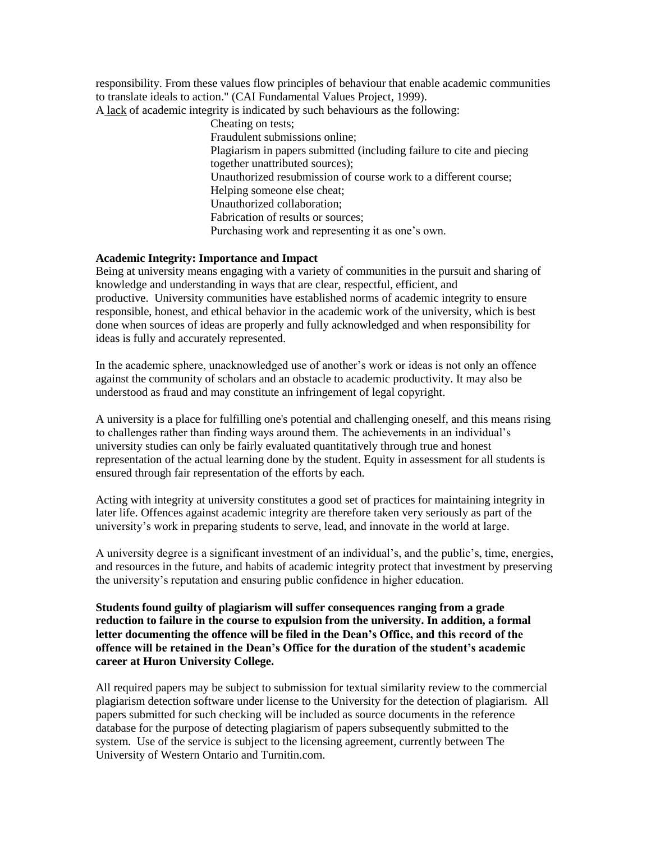responsibility. From these values flow principles of behaviour that enable academic communities to translate ideals to action." (CAI Fundamental Values Project, 1999). A lack of academic integrity is indicated by such behaviours as the following:

> Cheating on tests; Fraudulent submissions online; Plagiarism in papers submitted (including failure to cite and piecing together unattributed sources); Unauthorized resubmission of course work to a different course; Helping someone else cheat; Unauthorized collaboration; Fabrication of results or sources; Purchasing work and representing it as one's own.

## **Academic Integrity: Importance and Impact**

Being at university means engaging with a variety of communities in the pursuit and sharing of knowledge and understanding in ways that are clear, respectful, efficient, and productive. University communities have established norms of academic integrity to ensure responsible, honest, and ethical behavior in the academic work of the university, which is best done when sources of ideas are properly and fully acknowledged and when responsibility for ideas is fully and accurately represented.

In the academic sphere, unacknowledged use of another's work or ideas is not only an offence against the community of scholars and an obstacle to academic productivity. It may also be understood as fraud and may constitute an infringement of legal copyright.

A university is a place for fulfilling one's potential and challenging oneself, and this means rising to challenges rather than finding ways around them. The achievements in an individual's university studies can only be fairly evaluated quantitatively through true and honest representation of the actual learning done by the student. Equity in assessment for all students is ensured through fair representation of the efforts by each.

Acting with integrity at university constitutes a good set of practices for maintaining integrity in later life. Offences against academic integrity are therefore taken very seriously as part of the university's work in preparing students to serve, lead, and innovate in the world at large.

A university degree is a significant investment of an individual's, and the public's, time, energies, and resources in the future, and habits of academic integrity protect that investment by preserving the university's reputation and ensuring public confidence in higher education.

**Students found guilty of plagiarism will suffer consequences ranging from a grade reduction to failure in the course to expulsion from the university. In addition, a formal letter documenting the offence will be filed in the Dean's Office, and this record of the offence will be retained in the Dean's Office for the duration of the student's academic career at Huron University College.**

All required papers may be subject to submission for textual similarity review to the commercial plagiarism detection software under license to the University for the detection of plagiarism. All papers submitted for such checking will be included as source documents in the reference database for the purpose of detecting plagiarism of papers subsequently submitted to the system. Use of the service is subject to the licensing agreement, currently between The University of Western Ontario and Turnitin.com.